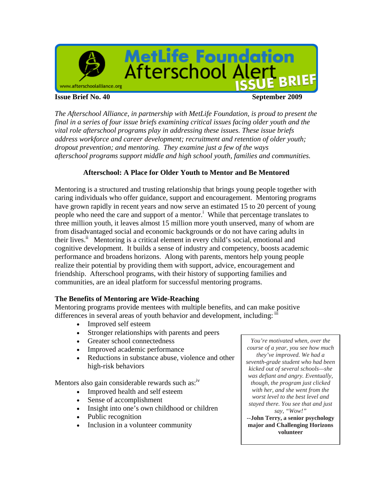

**Issue Brief No. 40 September 2009** 

*The Afterschool Alliance, in partnership with MetLife Foundation, is proud to present the final in a series of four issue briefs examining critical issues facing older youth and the vital role afterschool programs play in addressing these issues. These issue briefs address workforce and career development; recruitment and retention of older youth; dropout prevention; and mentoring. They examine just a few of the ways afterschool programs support middle and high school youth, families and communities.*

# **Afterschool: A Place for Older Youth to Mentor and Be Mentored**

Mentoring is a structured and trusting relationship that brings young people together with caring individuals who offer guidance, support and encouragement. Mentoring programs have grown rapidly in recent years and now serve an estimated 15 to 20 percent of young people who need the care and support of a mentor.<sup>i</sup> While that percentage translates to three million youth, it leaves almost 15 million more youth unserved, many of whom are from disadvantaged social and economic backgrounds or do not have caring adults in their lives.<sup>ii</sup> Mentoring is a critical element in every child's social, emotional and cognitive development. It builds a sense of industry and competency, boosts academic performance and broadens horizons. Along with parents, mentors help young people realize their potential by providing them with support, advice, encouragement and friendship. Afterschool programs, with their history of supporting families and communities, are an ideal platform for successful mentoring programs.

# **The Benefits of Mentoring are Wide-Reaching**

Mentoring programs provide mentees with multiple benefits, and can make positive differences in several areas of youth behavior and development, including: if

- Improved self esteem
- Stronger relationships with parents and peers
- Greater school connectedness
- Improved academic performance
- Reductions in substance abuse, violence and other high-risk behaviors

Mentors also gain considerable rewards such as: $\frac{iv}{ }$ 

- Improved health and self esteem
- Sense of accomplishment
- Insight into one's own childhood or children
- Public recognition
- Inclusion in a volunteer community

*You're motivated when, over the course of a year, you see how much they've improved. We had a seventh-grade student who had been kicked out of several schools—she was defiant and angry. Eventually, though, the program just clicked with her, and she went from the worst level to the best level and stayed there. You see that and just say, "Wow!"*

**--John Terry, a senior psychology major and Challenging Horizons volunteer**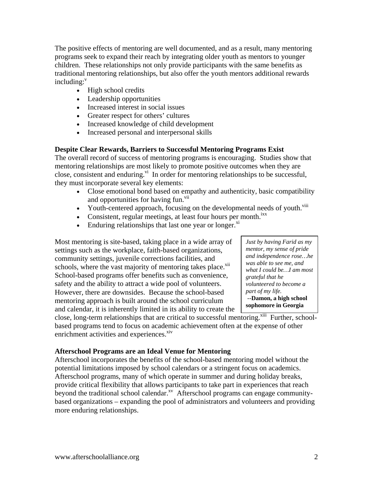The positive effects of mentoring are well documented, and as a result, many mentoring programs seek to expand their reach by integrating older youth as mentors to younger children. These relationships not only provide participants with the same benefits as traditional mentoring relationships, but also offer the youth mentors additional rewards  $in$ cluding: $v$ 

- High school credits
- Leadership opportunities
- Increased interest in social issues
- Greater respect for others' cultures
- Increased knowledge of child development
- Increased personal and interpersonal skills

# **Despite Clear Rewards, Barriers to Successful Mentoring Programs Exist**

The overall record of success of mentoring programs is encouraging. Studies show that mentoring relationships are most likely to promote positive outcomes when they are close, consistent and enduring.<sup>vi</sup> In order for mentoring relationships to be successful, they must incorporate several key elements:

- Close emotional bond based on empathy and authenticity, basic compatibility and opportunities for having fun.<sup>vii</sup>
- Youth-centered approach, focusing on the developmental needs of youth.<sup>viii</sup>
- Consistent, regular meetings, at least four hours per month.<sup>ixx</sup>
- $\bullet$  Enduring relationships that last one year or longer.<sup>xi</sup>

Most mentoring is site-based, taking place in a wide array of settings such as the workplace, faith-based organizations, community settings, juvenile corrections facilities, and schools, where the vast majority of mentoring takes place.<sup>xii</sup> School-based programs offer benefits such as convenience, safety and the ability to attract a wide pool of volunteers. However, there are downsides. Because the school-based mentoring approach is built around the school curriculum and calendar, it is inherently limited in its ability to create the

*Just by having Farid as my mentor, my sense of pride and independence rose…he was able to see me, and what I could be…I am most grateful that he volunteered to become a part of my life. --***Damon, a high school sophomore in Georgia** 

close, long-term relationships that are critical to successful mentoring.<sup>xiii</sup> Further, schoolbased programs tend to focus on academic achievement often at the expense of other enrichment activities and experiences. $\frac{div}{dx}$ 

# **Afterschool Programs are an Ideal Venue for Mentoring**

Afterschool incorporates the benefits of the school-based mentoring model without the potential limitations imposed by school calendars or a stringent focus on academics. Afterschool programs, many of which operate in summer and during holiday breaks, provide critical flexibility that allows participants to take part in experiences that reach beyond the traditional school calendar.<sup>xv</sup> Afterschool programs can engage communitybased organizations – expanding the pool of administrators and volunteers and providing more enduring relationships.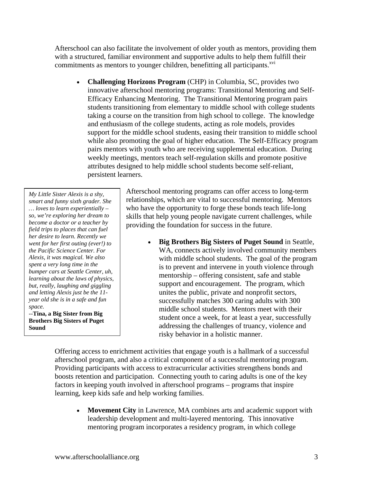Afterschool can also facilitate the involvement of older youth as mentors, providing them with a structured, familiar environment and supportive adults to help them fulfill their commitments as mentors to younger children, benefitting all participants.<sup>xvi</sup>

 **Challenging Horizons Program** (CHP) in Columbia, SC, provides two innovative afterschool mentoring programs: Transitional Mentoring and Self-Efficacy Enhancing Mentoring. The Transitional Mentoring program pairs students transitioning from elementary to middle school with college students taking a course on the transition from high school to college. The knowledge and enthusiasm of the college students, acting as role models, provides support for the middle school students, easing their transition to middle school while also promoting the goal of higher education. The Self-Efficacy program pairs mentors with youth who are receiving supplemental education. During weekly meetings, mentors teach self-regulation skills and promote positive attributes designed to help middle school students become self-reliant, persistent learners.

*My Little Sister Alexis is a shy, smart and funny sixth grader. She … loves to learn experientially – so, we're exploring her dream to become a doctor or a teacher by field trips to places that can fuel her desire to learn. Recently we went for her first outing (ever!) to the Pacific Science Center. For Alexis, it was magical. We also spent a very long time in the bumper cars at Seattle Center, uh, learning about the laws of physics, but, really, laughing and giggling and letting Alexis just be the 11 year old she is in a safe and fun space.* 

--**Tina, a Big Sister from Big Brothers Big Sisters of Puget Sound** 

Afterschool mentoring programs can offer access to long-term relationships, which are vital to successful mentoring. Mentors who have the opportunity to forge these bonds teach life-long skills that help young people navigate current challenges, while providing the foundation for success in the future.

> **Big Brothers Big Sisters of Puget Sound** in Seattle, WA, connects actively involved community members with middle school students. The goal of the program is to prevent and intervene in youth violence through mentorship – offering consistent, safe and stable support and encouragement. The program, which unites the public, private and nonprofit sectors, successfully matches 300 caring adults with 300 middle school students. Mentors meet with their student once a week, for at least a year, successfully addressing the challenges of truancy, violence and risky behavior in a holistic manner.

Offering access to enrichment activities that engage youth is a hallmark of a successful afterschool program, and also a critical component of a successful mentoring program. Providing participants with access to extracurricular activities strengthens bonds and boosts retention and participation. Connecting youth to caring adults is one of the key factors in keeping youth involved in afterschool programs – programs that inspire learning, keep kids safe and help working families.

 **Movement City** in Lawrence, MA combines arts and academic support with leadership development and multi-layered mentoring. This innovative mentoring program incorporates a residency program, in which college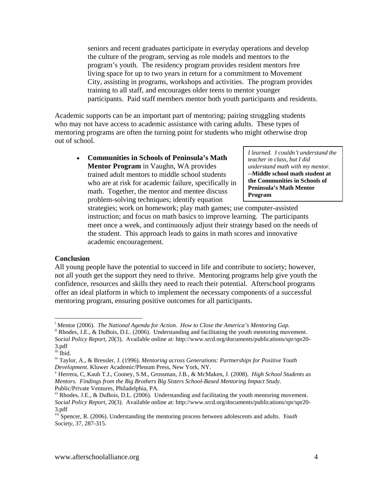seniors and recent graduates participate in everyday operations and develop the culture of the program, serving as role models and mentors to the program's youth. The residency program provides resident mentors free living space for up to two years in return for a commitment to Movement City, assisting in programs, workshops and activities. The program provides training to all staff, and encourages older teens to mentor younger participants. Paid staff members mentor both youth participants and residents.

Academic supports can be an important part of mentoring; pairing struggling students who may not have access to academic assistance with caring adults. These types of mentoring programs are often the turning point for students who might otherwise drop out of school.

 **Communities in Schools of Peninsula's Math Mentor Program** in Vaughn, WA provides trained adult mentors to middle school students who are at risk for academic failure, specifically in math. Together, the mentor and mentee discuss problem-solving techniques; identify equation

*I learned. I couldn't understand the teacher in class, but I did understand math with my mentor.*  --**Middle school math student at the Communities in Schools of Peninsula's Math Mentor Program** 

strategies; work on homework; play math games; use computer-assisted instruction; and focus on math basics to improve learning. The participants meet once a week, and continuously adjust their strategy based on the needs of the student. This approach leads to gains in math scores and innovative academic encouragement.

### **Conclusion**

All young people have the potential to succeed in life and contribute to society; however, not all youth get the support they need to thrive. Mentoring programs help give youth the confidence, resources and skills they need to reach their potential. Afterschool programs offer an ideal platform in which to implement the necessary components of a successful mentoring program, ensuring positive outcomes for all participants.

 $\overline{a}$ 

<sup>&</sup>lt;sup>i</sup> Mentor (2006). The National Agenda for Action. How to Close the America's Mentoring Gap.

<sup>&</sup>lt;sup>ii</sup> Rhodes, J.E., & DuBois, D.L. (2006). Understanding and facilitating the youth mentoring movement. *Social Policy Report*, 20(3). Available online at: http://www.srcd.org/documents/publications/spr/spr20- 3.pdf

iii Ibid.

iv Taylor, A., & Bressler, J. (1996). *Mentoring across Generations: Partnerships for Positive Youth Development*. Kluwer Academic/Plenum Press, New York, NY.

Herrera, C, Kauh T.J., Cooney, S.M., Grossman, J.B., & McMaken, J. (2008). *High School Students as Mentors. Findings from the Big Brothers Big Sisters School-Based Mentoring Impact Study.* Public/Private Ventures, Philadelphia, PA.

 $v<sup>i</sup>$  Rhodes, J.E., & DuBois, D.L. (2006). Understanding and facilitating the youth mentoring movement. *Social Policy Report*, 20(3). Available online at: http://www.srcd.org/documents/publications/spr/spr20- 3.pdf

vii Spencer, R. (2006). Understanding the mentoring process between adolescents and adults. *Youth Society*, 37, 287-315.